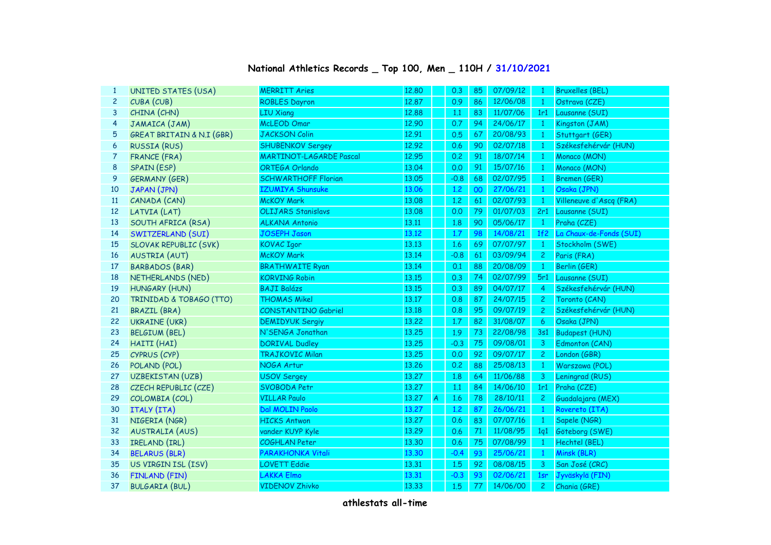## **National Athletics Records \_ Top 100, Men \_ 110H / 31/10/2021**

| 1              | UNITED STATES (USA)          | <b>MERRITT Aries</b>           | 12.80 |               | 0.3     | 85 | 07/09/12 | $\overline{1}$  | <b>Bruxelles (BEL)</b>  |
|----------------|------------------------------|--------------------------------|-------|---------------|---------|----|----------|-----------------|-------------------------|
| $\overline{c}$ | CUBA (CUB)                   | <b>ROBLES Dayron</b>           | 12.87 |               | 0.9     | 86 | 12/06/08 | $\mathbf{1}$    | Ostrava (CZE)           |
| 3              | CHINA (CHN)                  | <b>LIU Xiang</b>               | 12.88 |               | 1.1     | 83 | 11/07/06 | 1r1             | Lausanne (SUI)          |
| 4              | JAMAICA (JAM)                | McLEOD Omar                    | 12.90 |               | 0.7     | 94 | 24/06/17 | $\mathbf{1}$    | Kingston (JAM)          |
| 5              | GREAT BRITAIN & N.I (GBR)    | <b>JACKSON Colin</b>           | 12.91 |               | 0.5     | 67 | 20/08/93 | $\mathbf{1}$    | Stuttgart (GER)         |
| 6              | <b>RUSSIA (RUS)</b>          | <b>SHUBENKOV Sergey</b>        | 12.92 |               | 0.6     | 90 | 02/07/18 | $\mathbf{1}$    | Székesfehérvár (HUN)    |
| $\overline{7}$ | FRANCE (FRA)                 | <b>MARTINOT-LAGARDE Pascal</b> | 12.95 |               | 0.2     | 91 | 18/07/14 | $\mathbf{1}$    | Monaco (MON)            |
| 8              | SPAIN (ESP)                  | ORTEGA Orlando                 | 13.04 |               | 0.0     | 91 | 15/07/16 | $\mathbf{1}$    | Monaco (MON)            |
| 9              | <b>GERMANY (GER)</b>         | <b>SCHWARTHOFF Florian</b>     | 13.05 |               | $-0.8$  | 68 | 02/07/95 | $\mathbf{1}$    | Bremen (GER)            |
| 10             | JAPAN (JPN)                  | <b>IZUMIYA Shunsuke</b>        | 13.06 |               | 1.2     | 00 | 27/06/21 | $\mathbf{1}$    | Osaka (JPN)             |
| 11             | CANADA (CAN)                 | <b>McKOY Mark</b>              | 13.08 |               | 1,2     | 61 | 02/07/93 | $\mathbf{1}$    | Villeneuve d'Ascq (FRA) |
| 12             | LATVIA (LAT)                 | <b>OLIJARS Stanislavs</b>      | 13.08 |               | 0.0     | 79 | 01/07/03 | 2r1             | Lausanne (SUI)          |
| 13             | SOUTH AFRICA (RSA)           | <b>ALKANA Antonio</b>          | 13.11 |               | 1.8     | 90 | 05/06/17 | $\mathbf{1}$    | Praha (CZE)             |
| 14             | SWITZERLAND (SUI)            | <b>JOSEPH Jason</b>            | 13.12 |               | 1.7     | 98 | 14/08/21 | 1f <sub>2</sub> | La Chaux-de-Fonds (SUI) |
| 15             | <b>SLOVAK REPUBLIC (SVK)</b> | <b>KOVAC Igor</b>              | 13.13 |               | 1.6     | 69 | 07/07/97 | $\mathbf{1}$    | Stockholm (SWE)         |
| 16             | AUSTRIA (AUT)                | <b>McKOY Mark</b>              | 13.14 |               | $-0.8$  | 61 | 03/09/94 | $\overline{c}$  | Paris (FRA)             |
| 17             | <b>BARBADOS (BAR)</b>        | <b>BRATHWAITE Ryan</b>         | 13.14 |               | 0.1     | 88 | 20/08/09 | $\mathbf{1}$    | Berlin (GER)            |
| 18             | NETHERLANDS (NED)            | <b>KORVING Robin</b>           | 13.15 |               | 0.3     | 74 | 02/07/99 | 5r1             | Lausanne (SUI)          |
| 19             | HUNGARY (HUN)                | <b>BAJI Balázs</b>             | 13.15 |               | 0.3     | 89 | 04/07/17 | $\overline{4}$  | Székesfehérvár (HUN)    |
| 20             | TRINIDAD & TOBAGO (TTO)      | <b>THOMAS Mikel</b>            | 13.17 |               | 0.8     | 87 | 24/07/15 | $\overline{c}$  | Toronto (CAN)           |
| 21             | <b>BRAZIL (BRA)</b>          | CONSTANTINO Gabriel            | 13.18 |               | 0.8     | 95 | 09/07/19 | $\overline{c}$  | Székesfehérvár (HUN)    |
| 22             | <b>UKRAINE (UKR)</b>         | <b>DEMIDYUK Sergiy</b>         | 13.22 |               | $1.7\,$ | 82 | 31/08/07 | 6               | Osaka (JPN)             |
| 23             | <b>BELGIUM (BEL)</b>         | N'SENGA Jonathan               | 13,25 |               | 1.9     | 73 | 22/08/98 | 3s1             | <b>Budapest (HUN)</b>   |
| 24             | HAITI (HAI)                  | <b>DORIVAL Dudley</b>          | 13.25 |               | $-0.3$  | 75 | 09/08/01 | 3               | Edmonton (CAN)          |
| 25             | CYPRUS (CYP)                 | <b>TRAJKOVIC Milan</b>         | 13.25 |               | 0.0     | 92 | 09/07/17 | $\overline{2}$  | London (GBR)            |
| 26             | POLAND (POL)                 | NOGA Artur                     | 13.26 |               | 0.2     | 88 | 25/08/13 | $\mathbf{1}$    | Warszawa (POL)          |
| 27             | UZBEKISTAN (UZB)             | <b>USOV Sergey</b>             | 13.27 |               | 1.8     | 64 | 11/06/88 | 3               | Leningrad (RUS)         |
| 28             | CZECH REPUBLIC (CZE)         | SVOBODA Petr                   | 13.27 |               | 1.1     | 84 | 14/06/10 | 1r1             | Praha (CZE)             |
| 29             | COLOMBIA (COL)               | <b>VILLAR Paulo</b>            | 13.27 | $\mathcal{A}$ | 1.6     | 78 | 28/10/11 | $\mathbf{2}$    | Guadalajara (MEX)       |
| 30             | ITALY (ITA)                  | Dal MOLIN Paolo                | 13.27 |               | 1.2     | 87 | 26/06/21 | $\mathbf{1}$    | Rovereto (ITA)          |
| 31             | NIGERIA (NGR)                | <b>HICKS Antwon</b>            | 13.27 |               | 0.6     | 83 | 07/07/16 | $\mathbf{1}$    | Sapele (NGR)            |
| 32             | AUSTRALIA (AUS)              | vander KUYP Kyle               | 13.29 |               | 0.6     | 71 | 11/08/95 | 1q1             | Göteborg (SWE)          |
| 33             | IRELAND (IRL)                | COGHLAN Peter                  | 13.30 |               | 0.6     | 75 | 07/08/99 | $\mathbf{1}$    | Hechtel (BEL)           |
| 34             | <b>BELARUS (BLR)</b>         | PARAKHONKA Vitali              | 13.30 |               | $-0.4$  | 93 | 25/06/21 | $\mathbf{1}$    | Minsk (BLR)             |
| 35             | US VIRGIN ISL (ISV)          | <b>LOVETT Eddie</b>            | 13.31 |               | 1.5     | 92 | 08/08/15 | 3               | San José (CRC)          |
| 36             | FINLAND (FIN)                | <b>LAKKA Elmo</b>              | 13.31 |               | $-0.3$  | 93 | 02/06/21 | 1sr             | Jyväskylä (FIN)         |
| 37             | <b>BULGARIA (BUL)</b>        | <b>VIDENOV Zhivko</b>          | 13.33 |               | 1.5     | 77 | 14/06/00 | $\overline{c}$  | Chania (GRE)            |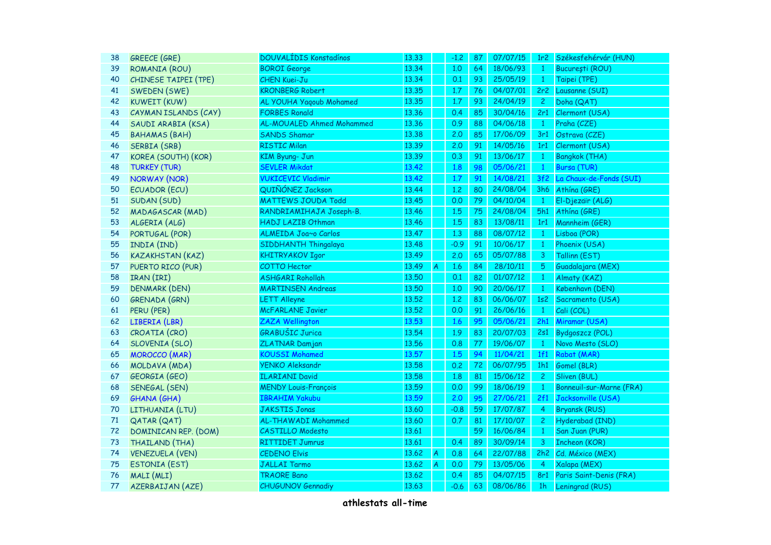| 38 | <b>GREECE (GRE)</b>     | <b>DOUVALIDIS Konstadinos</b> | 13.33 |                         | $-1.2$ | 87 | 07/07/15 | 1r <sub>2</sub> | Székesfehérvár (HUN)     |
|----|-------------------------|-------------------------------|-------|-------------------------|--------|----|----------|-----------------|--------------------------|
| 39 | ROMANIA (ROU)           | <b>BOROI</b> George           | 13.34 |                         | 1,0    | 64 | 18/06/93 | $\mathbf{1}$    | București (ROU)          |
| 40 | CHINESE TAIPEI (TPE)    | <b>CHEN Kuei-Ju</b>           | 13.34 |                         | 0.1    | 93 | 25/05/19 | $\mathbf{1}$    | Taipei (TPE)             |
| 41 | SWEDEN (SWE)            | <b>KRONBERG Robert</b>        | 13.35 |                         | 1.7    | 76 | 04/07/01 | 2r2             | Lausanne (SUI)           |
| 42 | <b>KUWEIT (KUW)</b>     | AL YOUHA Yaqoub Mohamed       | 13.35 |                         | 1.7    | 93 | 24/04/19 | $\overline{2}$  | Doha (QAT)               |
| 43 | CAYMAN ISLANDS (CAY)    | <b>FORBES Ronald</b>          | 13.36 |                         | 0.4    | 85 | 30/04/16 | 2r1             | Clermont (USA)           |
| 44 | SAUDI ARABIA (KSA)      | AL-MOUALED Ahmed Mohammed     | 13.36 |                         | 0.9    | 88 | 04/06/18 | $\mathbf{1}$    | Praha (CZE)              |
| 45 | <b>BAHAMAS (BAH)</b>    | <b>SANDS Shamar</b>           | 13.38 |                         | 2.0    | 85 | 17/06/09 | 3r1             | Ostrava (CZE)            |
| 46 | SERBIA (SRB)            | <b>RISTIC Milan</b>           | 13.39 |                         | 2,0    | 91 | 14/05/16 | 1r1             | Clermont (USA)           |
| 47 | KOREA (SOUTH) (KOR)     | KIM Byung- Jun                | 13.39 |                         | 0.3    | 91 | 13/06/17 | $\mathbf{1}$    | <b>Bangkok (THA)</b>     |
| 48 | <b>TURKEY (TUR)</b>     | <b>SEVLER Mikdat</b>          | 13.42 |                         | 1.8    | 98 | 05/06/21 | $\mathbf{1}$    | Bursa (TUR)              |
| 49 | <b>NORWAY (NOR)</b>     | <b>VUKICEVIC Vladimir</b>     | 13.42 |                         | 1.7    | 91 | 14/08/21 | 3f2             | La Chaux-de-Fonds (SUI)  |
| 50 | ECUADOR (ECU)           | QUIÑÓNEZ Jackson              | 13.44 |                         | 1,2    | 80 | 24/08/04 | 3h6             | Athína (GRE)             |
| 51 | SUDAN (SUD)             | <b>MATTEWS JOUDA Todd</b>     | 13.45 |                         | 0.0    | 79 | 04/10/04 | $\mathbf{1}$    | El-Djezaïr (ALG)         |
| 52 | MADAGASCAR (MAD)        | RANDRIAMIHAJA Joseph-B.       | 13.46 |                         | 1.5    | 75 | 24/08/04 | 5h1             | Athína (GRE)             |
| 53 | ALGERIA (ALG)           | HADJ LAZIB Othman             | 13.46 |                         | 1.5    | 83 | 13/08/11 | 1r1             | Mannheim (GER)           |
| 54 | PORTUGAL (POR)          | ALMEIDA Joa~o Carlos          | 13.47 |                         | 1,3    | 88 | 08/07/12 | $\overline{1}$  | Lisboa (POR)             |
| 55 | INDIA (IND)             | SIDDHANTH Thingalaya          | 13.48 |                         | $-0.9$ | 91 | 10/06/17 | $\mathbf{1}$    | Phoenix (USA)            |
| 56 | <b>KAZAKHSTAN (KAZ)</b> | <b>KHITRYAKOV Igor</b>        | 13.49 |                         | 2.0    | 65 | 05/07/88 | $\overline{3}$  | Tallinn (EST)            |
| 57 | PUERTO RICO (PUR)       | <b>COTTO Hector</b>           | 13.49 | $\overline{A}$          | 1.6    | 84 | 28/10/11 | $5\,$           | Guadalajara (MEX)        |
| 58 | IRAN (IRI)              | <b>ASHGARI Rohollah</b>       | 13.50 |                         | 0.1    | 82 | 01/07/12 | $\mathbf{1}$    | Almaty (KAZ)             |
| 59 | <b>DENMARK (DEN)</b>    | <b>MARTINSEN Andreas</b>      | 13.50 |                         | 1,0    | 90 | 20/06/17 | $\mathbf{1}$    | København (DEN)          |
| 60 | GRENADA (GRN)           | <b>LETT Alleyne</b>           | 13.52 |                         | 1,2    | 83 | 06/06/07 | 1s <sub>2</sub> | Sacramento (USA)         |
| 61 | PERU (PER)              | McFARLANE Javier              | 13.52 |                         | 0.0    | 91 | 26/06/16 | $\overline{1}$  | Cali (COL)               |
| 62 | LIBERIA (LBR)           | <b>ZAZA Wellington</b>        | 13.53 |                         | 1.6    | 95 | 05/06/21 | 2h1             | Miramar (USA)            |
| 63 | CROATIA (CRO)           | <b>GRABUŠIC Jurica</b>        | 13.54 |                         | 1.9    | 83 | 20/07/03 | 2s1             | <b>Bydgoszcz (POL)</b>   |
| 64 | SLOVENIA (SLO)          | <b>ZLATNAR Damjan</b>         | 13.56 |                         | 0.8    | 77 | 19/06/07 | $\mathbf{1}$    | Novo Mesto (SLO)         |
| 65 | <b>MOROCCO</b> (MAR)    | <b>KOUSSI Mohamed</b>         | 13.57 |                         | 1.5    | 94 | 11/04/21 | 1f1             | Rabat (MAR)              |
| 66 | MOLDAVA (MDA)           | <b>YENKO Aleksandr</b>        | 13.58 |                         | 0.2    | 72 | 06/07/95 | 1h1             | Gomel (BLR)              |
| 67 | GEORGIA (GEO)           | <b>ILARIANI David</b>         | 13.58 |                         | 1.8    | 81 | 15/06/12 | $\overline{c}$  | Sliven (BUL)             |
| 68 | SENEGAL (SEN)           | <b>MENDY Louis-François</b>   | 13.59 |                         | 0.0    | 99 | 18/06/19 | $\mathbf{1}$    | Bonneuil-sur-Marne (FRA) |
| 69 | <b>GHANA (GHA)</b>      | <b>IBRAHIM Yakubu</b>         | 13.59 |                         | 2.0    | 95 | 27/06/21 | 2f1             | Jacksonville (USA)       |
| 70 | LITHUANIA (LTU)         | <b>JAKSTIS Jonas</b>          | 13.60 |                         | $-0.8$ | 59 | 17/07/87 | $\overline{4}$  | <b>Bryansk (RUS)</b>     |
| 71 | QATAR (QAT)             | AL-THAWADI Mohammed           | 13.60 |                         | 0.7    | 81 | 17/10/07 | $\overline{2}$  | Hyderabad (IND)          |
| 72 | DOMINICAN REP. (DOM)    | <b>CASTILLO Modesto</b>       | 13.61 |                         |        | 59 | 16/06/84 | $\mathbf{1}$    | San Juan (PUR)           |
| 73 | THAILAND (THA)          | <b>RITTIDET Jumrus</b>        | 13.61 |                         | 0.4    | 89 | 30/09/14 | 3               | <b>Incheon (KOR)</b>     |
| 74 | <b>VENEZUELA (VEN)</b>  | <b>CEDENO Elvis</b>           | 13.62 | $\overline{\mathsf{A}}$ | 0.8    | 64 | 22/07/88 | 2h2             | Cd. México (MEX)         |
| 75 | <b>ESTONIA (EST)</b>    | <b>JALLAI Tarmo</b>           | 13.62 | A                       | 0.0    | 79 | 13/05/06 | 4               | Xalapa (MEX)             |
| 76 | MALI (MLI)              | <b>TRAORE Bano</b>            | 13.62 |                         | 0.4    | 85 | 04/07/15 | 8r1             | Paris Saint-Denis (FRA)  |
| 77 | AZERBAIJAN (AZE)        | <b>CHUGUNOV Gennadiy</b>      | 13.63 |                         | $-0.6$ | 63 | 08/06/86 | 1 <sub>h</sub>  | Leningrad (RUS)          |